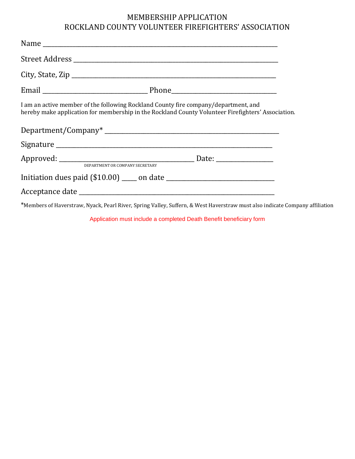## MEMBERSHIP APPLICATION ROCKLAND COUNTY VOLUNTEER FIREFIGHTERS' ASSOCIATION

| I am an active member of the following Rockland County fire company/department, and | hereby make application for membership in the Rockland County Volunteer Firefighters' Association. |
|-------------------------------------------------------------------------------------|----------------------------------------------------------------------------------------------------|
|                                                                                     |                                                                                                    |
|                                                                                     |                                                                                                    |
|                                                                                     |                                                                                                    |
|                                                                                     |                                                                                                    |
|                                                                                     |                                                                                                    |
|                                                                                     |                                                                                                    |

\*Members of Haverstraw, Nyack, Pearl River, Spring Valley, Suffern, & West Haverstraw must also indicate Company affiliation

Application must include a completed Death Benefit beneficiary form